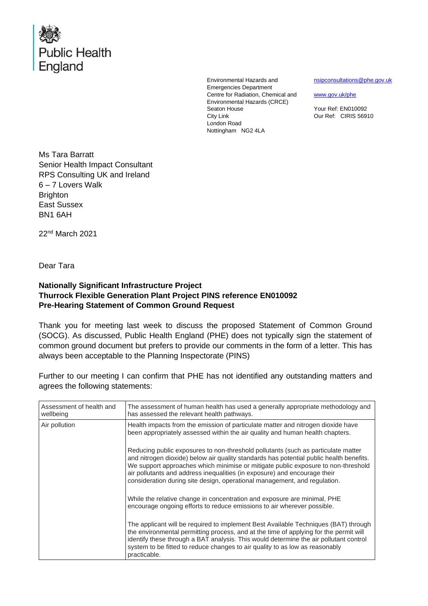

Environmental Hazards and Emergencies Department Centre for Radiation, Chemical and Environmental Hazards (CRCE) Seaton House City Link London Road Nottingham NG2 4LA

[nsipconsultations@phe.gov.uk](mailto:nsipconsultations@phe.gov.uk)

[www.gov.uk/phe](http://www.gov.uk/phe)

Your Ref: EN010092 Our Ref: CIRIS 56910

Ms Tara Barratt Senior Health Impact Consultant RPS Consulting UK and Ireland 6 – 7 Lovers Walk **Brighton** East Sussex BN1 6AH

22<sup>nd</sup> March 2021

Dear Tara

## **Nationally Significant Infrastructure Project Thurrock Flexible Generation Plant Project PINS reference EN010092 Pre-Hearing Statement of Common Ground Request**

Thank you for meeting last week to discuss the proposed Statement of Common Ground (SOCG). As discussed, Public Health England (PHE) does not typically sign the statement of common ground document but prefers to provide our comments in the form of a letter. This has always been acceptable to the Planning Inspectorate (PINS)

Further to our meeting I can confirm that PHE has not identified any outstanding matters and agrees the following statements:

| Assessment of health and<br>wellbeing | The assessment of human health has used a generally appropriate methodology and<br>has assessed the relevant health pathways.                                                                                                                                                                                                                                                                                               |
|---------------------------------------|-----------------------------------------------------------------------------------------------------------------------------------------------------------------------------------------------------------------------------------------------------------------------------------------------------------------------------------------------------------------------------------------------------------------------------|
| Air pollution                         | Health impacts from the emission of particulate matter and nitrogen dioxide have<br>been appropriately assessed within the air quality and human health chapters.                                                                                                                                                                                                                                                           |
|                                       | Reducing public exposures to non-threshold pollutants (such as particulate matter<br>and nitrogen dioxide) below air quality standards has potential public health benefits.<br>We support approaches which minimise or mitigate public exposure to non-threshold<br>air pollutants and address inequalities (in exposure) and encourage their<br>consideration during site design, operational management, and regulation. |
|                                       | While the relative change in concentration and exposure are minimal, PHE<br>encourage ongoing efforts to reduce emissions to air wherever possible.                                                                                                                                                                                                                                                                         |
|                                       | The applicant will be required to implement Best Available Techniques (BAT) through<br>the environmental permitting process, and at the time of applying for the permit will<br>identify these through a BAT analysis. This would determine the air pollutant control<br>system to be fitted to reduce changes to air quality to as low as reasonably<br>practicable.                                                       |